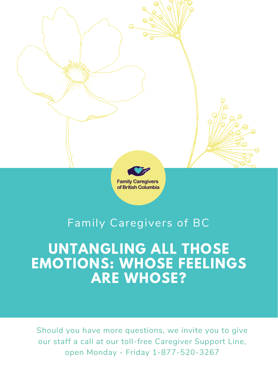# **UNTANGLING ALL THOSE EMOTIONS: WHOSE FEELINGS ARE WHOSE?**



# Family Caregivers of BC

Should you have more questions, we invite you to give our staff a call at our toll-free Caregiver Support Line, open Monday - Friday 1-877-520-3267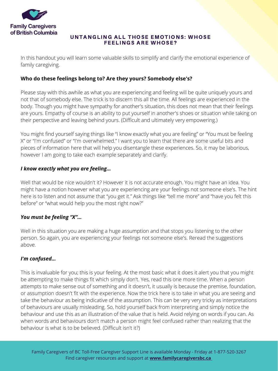![](_page_1_Picture_0.jpeg)

#### UNTANGLING ALL THOSE EMOTIONS: WHOSE FEELINGS ARE WHOSE?

In this handout you will learn some valuable skills to simplify and clarify the emotional experience of family caregiving.

# **Who do these feelings belong to? Are they yours? Somebody else's?**

Please stay with this awhile as what you are experiencing and feeling will be quite uniquely yours and not that of somebody else. The trick is to discern this all the time. All feelings are experienced in the body. Though you might have sympathy for another's situation, this does not mean that their feelings are yours. Empathy of course is an ability to put yourself in another's shoes or situation while taking on their perspective and leaving behind yours. (Difficult and ultimately very empowering.)

Well that would be nice wouldn't it? However it is not accurate enough. You might have an idea. You might have a notion however what you are experiencing are your feelings not someone else's. The hint here is to listen and not assume that "you get it." Ask things like "tell me more" and "have you felt this before" or "what would help you the most right now?"

You might find yourself saying things like "I know exactly what you are feeling" or "You must be feeling X" or "I'm confused" or "I'm overwhelmed." I want you to learn that there are some useful bits and pieces of information here that will help you disentangle these experiences. So, it may be laborious, however I am going to take each example separately and clarify.

### *I know exactly what you are feeling…*

# *You must be feeling "X"…*

Well in this situation you are making a huge assumption and that stops you listening to the other person. So again, you are experiencing your feelings not someone else's. Reread the suggestions above.

#### *I'm confused…*

This is invaluable for you; this is your feeling. At the most basic what it does it alert you that you might be attempting to make things fit which simply don't. Yes, read this one more time. When a person attempts to make sense out of something and it doesn't, it usually is because the premise, foundation, or assumption doesn't fit with the experience. Now the trick here is to take in what you are seeing and take the behaviour as being indicative of the assumption. This can be very very tricky as interpretations of behaviours are usually misleading. So, hold yourself back from interpreting and simply notice the behaviour and use this as an illustration of the value that is held. Avoid relying on words if you can. As when words and behaviours don't match a person might feel confused rather than realizing that the behaviour is what is to be believed. (Difficult isn't it?)

Family Caregivers of BC Toll-Free Caregiver Support Line is available Monday - Friday at 1-877-520-3267 Find caregiver resources and support at **[www.familycaregiversbc.ca](http://www.familycaregiversbc.ca/)**